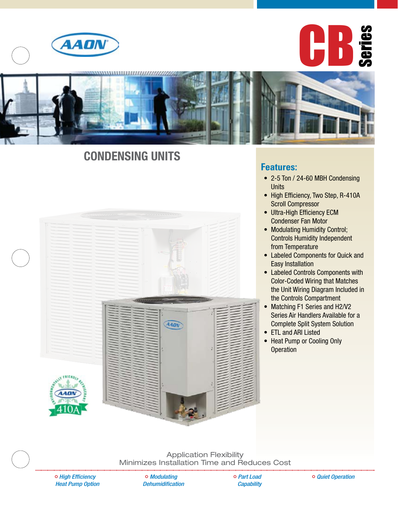





## **Condensing Units**



#### **Features:**

- 2-5 Ton / 24-60 MBH Condensing **Units**
- High Efficiency, Two Step, R-410A Scroll Compressor
- Ultra-High Efficiency ECM Condenser Fan Motor
- Modulating Humidity Control; Controls Humidity Independent from Temperature
- Labeled Components for Quick and Easy Installation
- Labeled Controls Components with Color-Coded Wiring that Matches the Unit Wiring Diagram Included in the Controls Compartment
- Matching F1 Series and H2/V2 Series Air Handlers Available for a Complete Split System Solution
- ETL and ARI Listed
- Heat Pump or Cooling Only **Operation**

Application Flexibility Minimizes Installation Time and Reduces Cost

*High Efficiency Heat Pump Option*

*Modulating Dehumidification* *Part Load Capability* *Quiet Operation*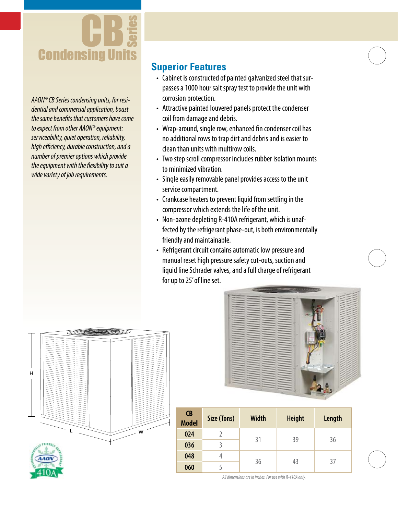

*AAON® CB Series condensing units, for residential and commercial application, boast the same benefits that customers have come to expect from other AAON® equipment: serviceability, quiet operation, reliability, high efficiency, durable construction, and a number of premier options which provide the equipment with the flexibility to suit a wide variety of job requirements.*

### **Superior Features**

- Cabinet is constructed of painted galvanized steel that surpasses a 1000 hour salt spray test to provide the unit with corrosion protection.
- Attractive painted louvered panels protect the condenser coil from damage and debris.
- Wrap-around, single row, enhanced fin condenser coil has no additional rows to trap dirt and debris and is easier to clean than units with multirow coils.
- Two step scroll compressor includes rubber isolation mounts to minimized vibration.
- Single easily removable panel provides access to the unit service compartment.
- Crankcase heaters to prevent liquid from settling in the compressor which extends the life of the unit.
- Non-ozone depleting R-410A refrigerant, which is unaffected by the refrigerant phase-out, is both environmentally friendly and maintainable.
- Refrigerant circuit contains automatic low pressure and manual reset high pressure safety cut-outs, suction and liquid line Schrader valves, and a full charge of refrigerant for up to 25' of line set.





| $\overline{CB}$<br><b>Model</b> | Size (Tons) | <b>Width</b> | <b>Height</b> | Length |
|---------------------------------|-------------|--------------|---------------|--------|
| 024                             |             | 31           | 39            | 36     |
| 036                             | 3           |              |               |        |
| 048                             | 4           | 36           | 43            | 37     |
| 060                             |             |              |               |        |

*All dimensions are in inches. For use with R-410A only.*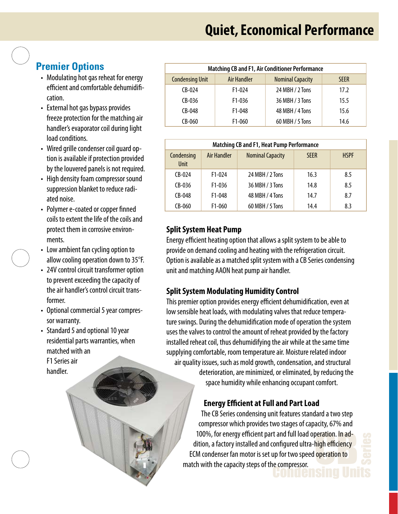## **Premier Options**

- Modulating hot gas reheat for energy efficient and comfortable dehumidification.
- External hot gas bypass provides freeze protection for the matching air handler's evaporator coil during light load conditions.
- Wired grille condenser coil quard option is available if protection provided by the louvered panels is not required.
- High density foam compressor sound suppression blanket to reduce radiated noise.
- Polymer e-coated or copper finned coils to extent the life of the coils and protect them in corrosive environments.
- Low ambient fan cycling option to allow cooling operation down to  $35^{\circ}$ F.
- 24V control circuit transformer option to prevent exceeding the capacity of the air handler's control circuit transformer.
- Optional commercial 5 year compressor warranty.
- Standard 5 and optional 10 year residential parts warranties, when matched with an F1Seriesair handler.

| Matching CB and F1, Air Conditioner Performance |                     |                         |             |  |  |  |  |
|-------------------------------------------------|---------------------|-------------------------|-------------|--|--|--|--|
| <b>Condensing Unit</b>                          | Air Handler         | <b>Nominal Capacity</b> | <b>SFFR</b> |  |  |  |  |
| $(R-0)4$                                        | $F1-024$            | 24 MBH / 2 Tons         | 17.2        |  |  |  |  |
| $CB-036$                                        | $F1-036$            | 36 MBH / 3 Tons         | 15.5        |  |  |  |  |
| $CB-048$                                        | F1-048              | 48 MBH / 4 Tons         | 15.6        |  |  |  |  |
| CB-060                                          | F <sub>1</sub> -060 | 60 MBH / 5 Tons         | 14.6        |  |  |  |  |

| <b>Matching CB and F1, Heat Pump Performance</b> |                    |                         |             |             |  |  |  |
|--------------------------------------------------|--------------------|-------------------------|-------------|-------------|--|--|--|
| Condensing<br>Unit                               | <b>Air Handler</b> | <b>Nominal Capacity</b> | <b>SEER</b> | <b>HSPF</b> |  |  |  |
| CB-024                                           | $F1-024$           | 24 MBH / 2 Tons         | 16.3        | 8.5         |  |  |  |
| CB-036                                           | $F1-036$           | 36 MBH / 3 Tons         | 14.8        | 8.5         |  |  |  |
| CB-048                                           | F1-048             | 48 MBH / 4 Tons         | 14.7        | 8.7         |  |  |  |
| CB-060                                           | $F1-060$           | 60 MBH / 5 Tons         | 14.4        | 8.3         |  |  |  |

#### **Split System Heat Pump**

Energy efficient heating option that allows a split system to be able to provide on demand cooling and heating with the refrigeration circuit. Option is available as a matched split system with a CB Series condensing unit and matching AAON heat pump air handler.

#### **Split System Modulating Humidity Control**

This premier option provides energy efficient dehumidification, even at low sensible heat loads, with modulating valves that reduce temperature swings. During the dehumidification mode of operation the system uses the valves to control the amount of reheat provided by the factory installed reheat coil, thus dehumidifying the air while at the same time supplying comfortable, room temperature air. Moisture related indoor air quality issues, such as mold growth, condensation, and structural deterioration, are minimized, or eliminated, by reducing the space humidity while enhancing occupant comfort.

#### **Energy Efficient at Full and Part Load**

t and full load operation. In ad-<br>
onfigured ultra-high efficiency<br>
up for two speed operation to<br>
e compressor. The CB Series condensing unit features standard a two step compressor which provides two stages of capacity, 67% and 100%, for energy efficient part and full load operation. In addition, a factory installed and configured ultra-h<mark>igh efficiency</mark> ECM condenser fan motor is set up for two speed operation to match with the capacity steps of the compressor.